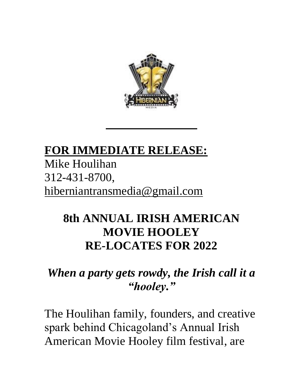

## **FOR IMMEDIATE RELEASE:** Mike Houlihan 312-431-8700, [hiberniantransmedia@gmail.com](mailto:Houlitv@AOL.COM)

## **8th ANNUAL IRISH AMERICAN MOVIE HOOLEY RE-LOCATES FOR 2022**

## *When a party gets rowdy, the Irish call it a "hooley."*

The Houlihan family, founders, and creative spark behind Chicagoland's Annual Irish American Movie Hooley film festival, are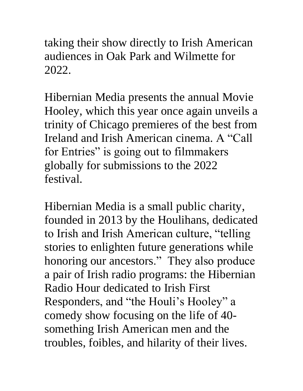taking their show directly to Irish American audiences in Oak Park and Wilmette for 2022.

Hibernian Media presents the annual Movie Hooley, which this year once again unveils a trinity of Chicago premieres of the best from Ireland and Irish American cinema. A "Call for Entries" is going out to filmmakers globally for submissions to the 2022 festival.

Hibernian Media is a small public charity, founded in 2013 by the Houlihans, dedicated to Irish and Irish American culture, "telling stories to enlighten future generations while honoring our ancestors." They also produce a pair of Irish radio programs: the Hibernian Radio Hour dedicated to Irish First Responders, and "the Houli's Hooley" a comedy show focusing on the life of 40 something Irish American men and the troubles, foibles, and hilarity of their lives.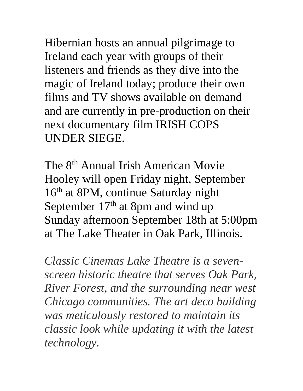Hibernian hosts an annual pilgrimage to Ireland each year with groups of their listeners and friends as they dive into the magic of Ireland today; produce their own films and TV shows available on demand and are currently in pre-production on their next documentary film IRISH COPS UNDER SIEGE.

The 8<sup>th</sup> Annual Irish American Movie Hooley will open Friday night, September 16<sup>th</sup> at 8PM, continue Saturday night September 17<sup>th</sup> at 8pm and wind up Sunday afternoon September 18th at 5:00pm at The Lake Theater in Oak Park, Illinois.

*Classic Cinemas Lake Theatre is a sevenscreen historic theatre that serves Oak Park, River Forest, and the surrounding near west Chicago communities. The art deco building was meticulously restored to maintain its classic look while updating it with the latest technology.*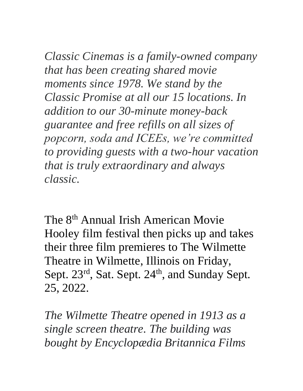*Classic Cinemas is a family-owned company that has been creating shared movie moments since 1978. We stand by the Classic Promise at all our 15 locations. In addition to our 30-minute money-back guarantee and free refills on all sizes of popcorn, soda and ICEEs, we're committed to providing guests with a two-hour vacation that is truly extraordinary and always classic.*

The 8th Annual Irish American Movie Hooley film festival then picks up and takes their three film premieres to The Wilmette Theatre in Wilmette, Illinois on Friday, Sept.  $23^{\text{rd}}$ , Sat. Sept.  $24^{\text{th}}$ , and Sunday Sept. 25, 2022.

*The Wilmette Theatre opened in 1913 as a single screen theatre. The building was bought by Encyclopædia Britannica Films*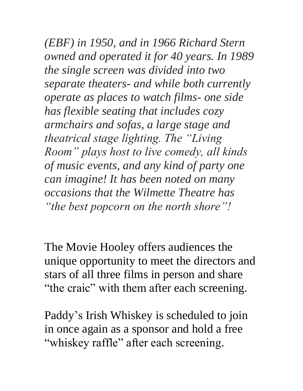*(EBF) in 1950, and in 1966 Richard Stern owned and operated it for 40 years. In 1989 the single screen was divided into two separate theaters- and while both currently operate as places to watch films- one side has flexible seating that includes cozy armchairs and sofas, a large stage and theatrical stage lighting. The "Living Room" plays host to live comedy, all kinds of music events, and any kind of party one can imagine! It has been noted on many occasions that the Wilmette Theatre has "the best popcorn on the north shore"!*

The Movie Hooley offers audiences the unique opportunity to meet the directors and stars of all three films in person and share "the craic" with them after each screening.

Paddy's Irish Whiskey is scheduled to join in once again as a sponsor and hold a free "whiskey raffle" after each screening.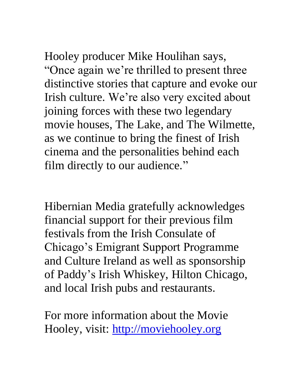Hooley producer Mike Houlihan says, "Once again we're thrilled to present three distinctive stories that capture and evoke our Irish culture. We're also very excited about joining forces with these two legendary movie houses, The Lake, and The Wilmette, as we continue to bring the finest of Irish cinema and the personalities behind each film directly to our audience."

Hibernian Media gratefully acknowledges financial support for their previous film festivals from the Irish Consulate of Chicago's Emigrant Support Programme and Culture Ireland as well as sponsorship of Paddy's Irish Whiskey, Hilton Chicago, and local Irish pubs and restaurants.

For more information about the Movie Hooley, visit: [http://moviehooley.org](http://moviehooley.org/)